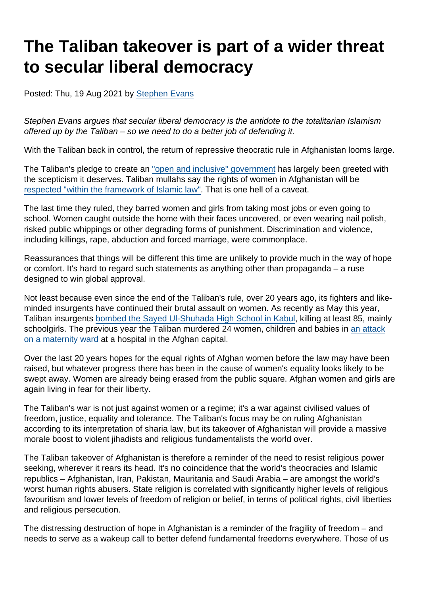## The Taliban takeover is part of a wider threat to secular liberal democracy

Posted: Thu, 19 Aug 2021 by [Stephen Evans](https://www.secularism.org.uk/opinion/authors/845)

Stephen Evans argues that secular liberal democracy is the antidote to the totalitarian Islamism offered up by the Taliban – so we need to do a better job of defending it.

With the Taliban back in control, the return of repressive theocratic rule in Afghanistan looms large.

The Taliban's pledge to create an ["open and inclusive" government](https://www.itv.com/news/2021-08-15/taliban-seize-last-major-city-outside-of-afghanistans-capital-kabul) has largely been greeted with the scepticism it deserves. Taliban mullahs say the rights of women in Afghanistan will be [respected "within the framework of Islamic law".](https://www.bbc.co.uk/news/world-asia-58249952) That is one hell of a caveat.

The last time they ruled, they barred women and girls from taking most jobs or even going to school. Women caught outside the home with their faces uncovered, or even wearing nail polish, risked public whippings or other degrading forms of punishment. Discrimination and violence, including killings, rape, abduction and forced marriage, were commonplace.

Reassurances that things will be different this time are unlikely to provide much in the way of hope or comfort. It's hard to regard such statements as anything other than propaganda – a ruse designed to win global approval.

Not least because even since the end of the Taliban's rule, over 20 years ago, its fighters and likeminded insurgents have continued their brutal assault on women. As recently as May this year, Taliban insurgents [bombed the Sayed Ul-Shuhada High School in Kabul,](https://www.hrw.org/news/2021/05/10/killing-schoolgirls-afghanistan) killing at least 85, mainly schoolgirls. The previous vear the Taliban murdered 24 women, children and babies in [an attack](https://www.bbc.co.uk/news/world-asia-52642503) [on a maternity ward](https://www.bbc.co.uk/news/world-asia-52642503) at a hospital in the Afghan capital.

Over the last 20 years hopes for the equal rights of Afghan women before the law may have been raised, but whatever progress there has been in the cause of women's equality looks likely to be swept away. Women are already being erased from the public square. Afghan women and girls are again living in fear for their liberty.

The Taliban's war is not just against women or a regime; it's a war against civilised values of freedom, justice, equality and tolerance. The Taliban's focus may be on ruling Afghanistan according to its interpretation of sharia law, but its takeover of Afghanistan will provide a massive morale boost to violent jihadists and religious fundamentalists the world over.

The Taliban takeover of Afghanistan is therefore a reminder of the need to resist religious power seeking, wherever it rears its head. It's no coincidence that the world's theocracies and Islamic republics – Afghanistan, Iran, Pakistan, Mauritania and Saudi Arabia – are amongst the world's worst human rights abusers. State religion is correlated with significantly higher levels of religious favouritism and lower levels of freedom of religion or belief, in terms of political rights, civil liberties and religious persecution.

The distressing destruction of hope in Afghanistan is a reminder of the fragility of freedom – and needs to serve as a wakeup call to better defend fundamental freedoms everywhere. Those of us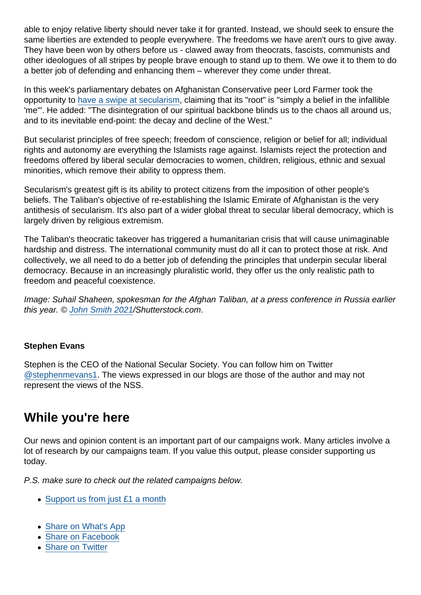able to enjoy relative liberty should never take it for granted. Instead, we should seek to ensure the same liberties are extended to people everywhere. The freedoms we have aren't ours to give away. They have been won by others before us - clawed away from theocrats, fascists, communists and other ideologues of all stripes by people brave enough to stand up to them. We owe it to them to do a better job of defending and enhancing them – wherever they come under threat.

In this week's parliamentary debates on Afghanistan Conservative peer Lord Farmer took the opportunity to [have a swipe at secularism](https://www.theyworkforyou.com/lords/?id=2021-08-18a.469.6), claiming that its "root" is "simply a belief in the infallible 'me'". He added: "The disintegration of our spiritual backbone blinds us to the chaos all around us, and to its inevitable end-point: the decay and decline of the West."

But secularist principles of free speech; freedom of conscience, religion or belief for all; individual rights and autonomy are everything the Islamists rage against. Islamists reject the protection and freedoms offered by liberal secular democracies to women, children, religious, ethnic and sexual minorities, which remove their ability to oppress them.

Secularism's greatest gift is its ability to protect citizens from the imposition of other people's beliefs. The Taliban's objective of re-establishing the Islamic Emirate of Afghanistan is the very antithesis of secularism. It's also part of a wider global threat to secular liberal democracy, which is largely driven by religious extremism.

The Taliban's theocratic takeover has triggered a humanitarian crisis that will cause unimaginable hardship and distress. The international community must do all it can to protect those at risk. And collectively, we all need to do a better job of defending the principles that underpin secular liberal democracy. Because in an increasingly pluralistic world, they offer us the only realistic path to freedom and peaceful coexistence.

Image: Suhail Shaheen, spokesman for the Afghan Taliban, at a press conference in Russia earlier this year. © [John Smith 2021](https://www.shutterstock.com/g/john+smith+2021)/Shutterstock.com.

## Stephen Evans

Stephen is the CEO of the National Secular Society. You can follow him on Twitter [@stephenmevans1.](https://twitter.com/stephenmevans1?lang=en-gb) The views expressed in our blogs are those of the author and may not represent the views of the NSS.

## While you're here

Our news and opinion content is an important part of our campaigns work. Many articles involve a lot of research by our campaigns team. If you value this output, please consider supporting us today.

P.S. make sure to check out the related campaigns below.

- [Support us from just £1 a month](https://www.secularism.org.uk/donate.html)
- [Share on What's App](whatsapp://send?text=http://www.secularism.org.uk/opinion/2021/08/the-taliban-takeover-is-part-of-a-wider-threat-to-secular-liberal-democracy?format=pdf)
- [Share on Facebook](https://www.facebook.com/sharer/sharer.php?u=http://www.secularism.org.uk/opinion/2021/08/the-taliban-takeover-is-part-of-a-wider-threat-to-secular-liberal-democracy?format=pdf&t=The+Taliban+takeover+is+part+of+a+wider+threat+to+secular+liberal+democracy)
- [Share on Twitter](https://twitter.com/intent/tweet?url=http://www.secularism.org.uk/opinion/2021/08/the-taliban-takeover-is-part-of-a-wider-threat-to-secular-liberal-democracy?format=pdf&text=The+Taliban+takeover+is+part+of+a+wider+threat+to+secular+liberal+democracy&via=NatSecSoc)